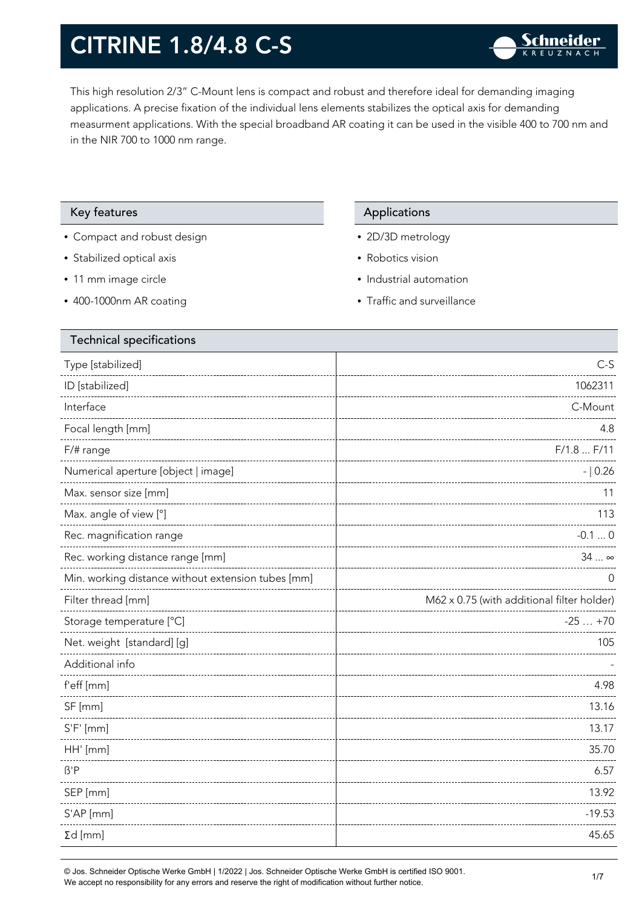This high resolution 2/3" C-Mount lens is compact and robust and therefore ideal for demanding imaging applications. A precise fixation of the individual lens elements stabilizes the optical axis for demanding measurment applications. With the special broadband AR coating it can be used in the visible 400 to 700 nm and in the NIR 700 to 1000 nm range.

### Key features **Applications** Applications

- Compact and robust design
- Stabilized optical axis
- 11 mm image circle
- 400-1000nm AR coating

- 2D/3D metrology
- Robotics vision
- Industrial automation
- Traffic and surveillance

| <b>Technical specifications</b>                    |                                            |
|----------------------------------------------------|--------------------------------------------|
| Type [stabilized]                                  | $C-S$                                      |
| ID [stabilized]                                    | 1062311                                    |
| Interface                                          | C-Mount                                    |
| Focal length [mm]                                  | 4.8                                        |
| F/# range                                          | F/1.8 F/11                                 |
| Numerical aperture [object   image]                | $- 0.26$                                   |
| Max. sensor size [mm]                              | 11                                         |
| Max. angle of view [°]                             | 113                                        |
| Rec. magnification range                           | $-0.10$                                    |
| Rec. working distance range [mm]                   | 34  ∞                                      |
| Min. working distance without extension tubes [mm] | O                                          |
| Filter thread [mm]                                 | M62 x 0.75 (with additional filter holder) |
| Storage temperature [°C]                           | $-25+70$                                   |
| Net. weight [standard] [g]                         | 105                                        |
| Additional info                                    |                                            |
| f'eff [mm]                                         | 4.98                                       |
| SF [mm]                                            | 13.16                                      |
| $S'F'$ [mm]                                        | 13.17                                      |
| HH' [mm]                                           | 35.70                                      |
| $\beta'$ P                                         | 6.57                                       |
| SEP [mm]                                           | 13.92                                      |
| S'AP [mm]                                          | $-19.53$                                   |
| $\Sigma d$ [mm]                                    | 45.65                                      |
|                                                    |                                            |

© Jos. Schneider Optische Werke GmbH | 1/2022 | Jos. Schneider Optische Werke GmbH is certified ISO 9001.  $\bullet$  Jos. Schneider Opuscrie werke Grillon | 1/2022 | Jos. Schneider Opuscrie werke Grillon is certified iSO 9001.<br>We accept no responsibility for any errors and reserve the right of modification without further notice.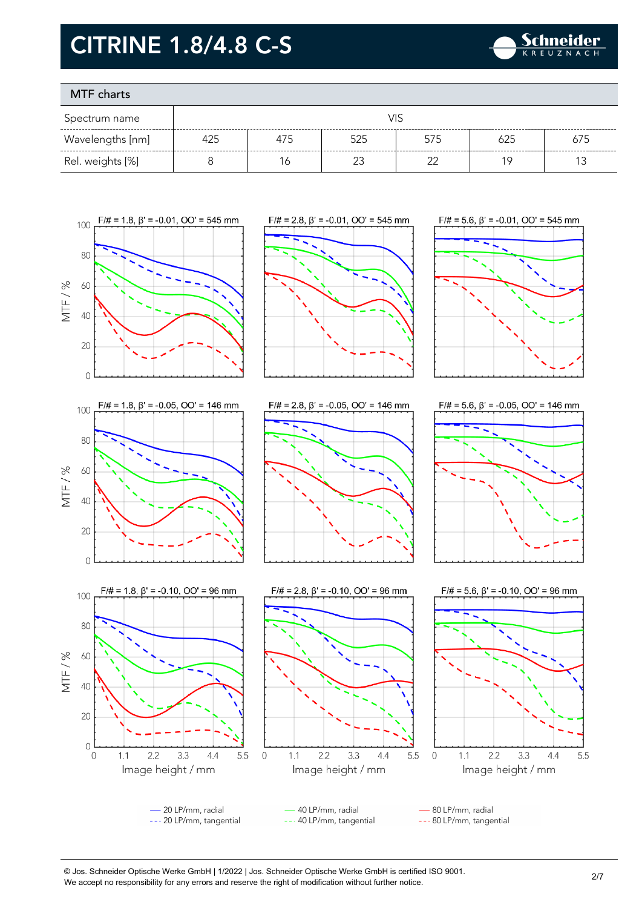

### MTF charts

| Spectrum name    |     |     |        |        |     |     |
|------------------|-----|-----|--------|--------|-----|-----|
| Wavelengths [nm] | 425 | 475 | 525    | 575    | 625 | 675 |
| Rel. weights [%] |     | 6   | $\sim$ | $\sim$ | 1 C |     |









- 20 LP/mm, radial 40 LP/mm, radial 80 LP/mm, radial --- 20 LP/mm, tangential --- 40 LP/mm, tangential --- 80 LP/mm, tangential

© Jos. Schneider Optische Werke GmbH | 1/2022 | Jos. Schneider Optische Werke GmbH is certified ISO 9001. We accept no responsibility for any errors and reserve the right of modification without further notice.<br>We accept no responsibility for any errors and reserve the right of modification without further notice.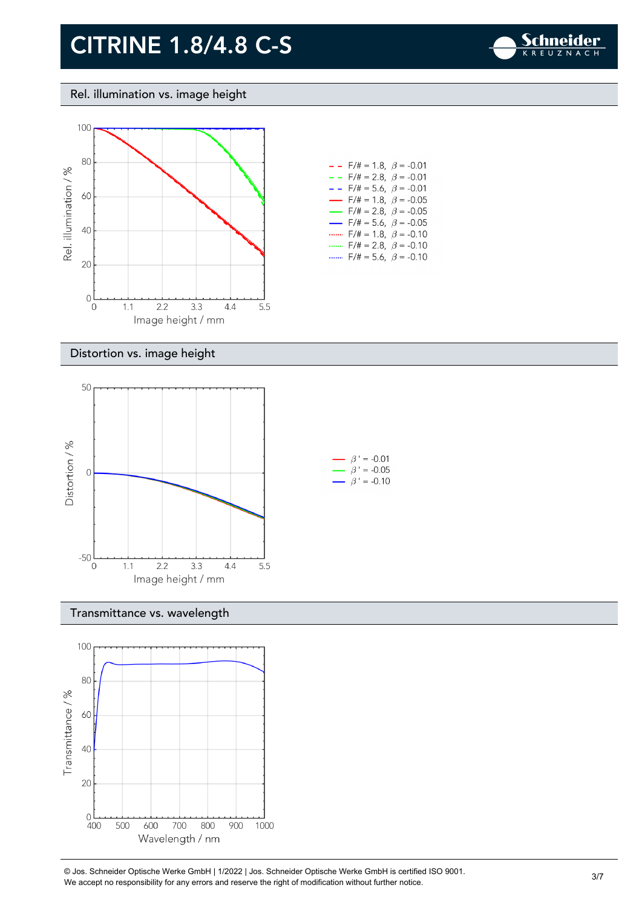

Rel. illumination vs. image height



| $ -$  | $F/\ddot{\pi} = 1.8, \ \beta = -0.01$    |  |
|-------|------------------------------------------|--|
| $- -$ | $F/\ddot{=} = 2.8, \ \beta = -0.01$      |  |
|       | $- -$ F/# = 5.6, $\beta$ = -0.01         |  |
|       | $\rightarrow$ F/# = 1.8, $\beta$ = -0.05 |  |
|       | $\rightarrow$ F/# = 2.8, $\beta$ = -0.05 |  |
|       | $\rightarrow$ F/# = 5.6, $\beta$ = -0.05 |  |
|       | F/# = 1.8, $\beta$ = -0.10               |  |
|       | F/# = 2.8, $\beta$ = -0.10               |  |
|       | $F/\ddot{=} = 5.6, \ \beta = -0.10$      |  |

#### Distortion vs. image height



#### Transmittance vs. wavelength



© Jos. Schneider Optische Werke GmbH | 1/2022 | Jos. Schneider Optische Werke GmbH is certified ISO 9001.  $\degree$  Jos. Scrinelder Opuscrie werke Grildri | 1/2022 | Jos. Scrinelder Opuscrie werke Grildri is certuled ISO 9001.<br>We accept no responsibility for any errors and reserve the right of modification without further notice.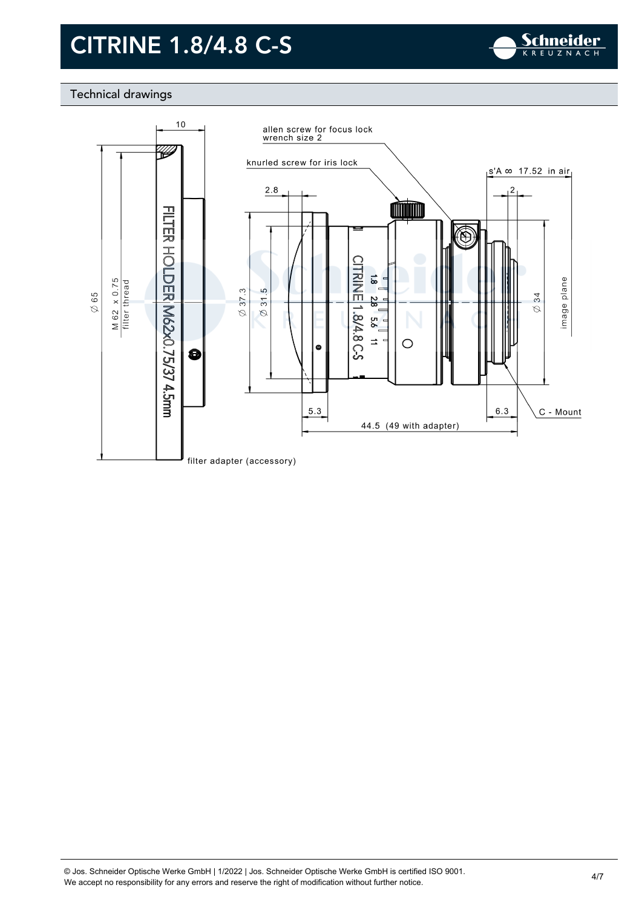

### Technical drawings

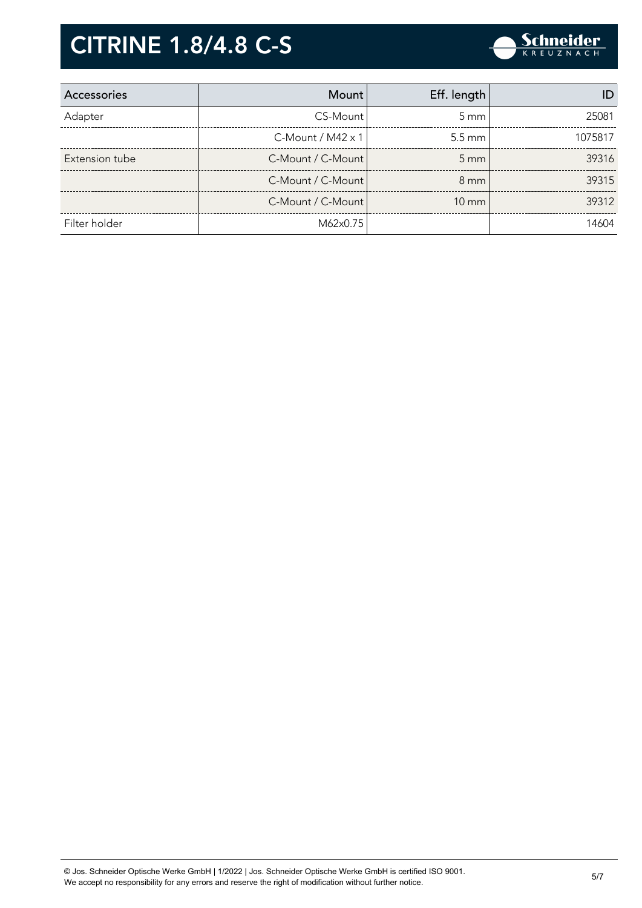

| Accessories    | <b>Mount</b>             | Eff. length       |         |
|----------------|--------------------------|-------------------|---------|
| Adapter        | CS-Mount                 | $5 \text{ mm}$    | 25081   |
|                | C-Mount / $M42 \times 1$ | $5.5 \text{ mm}$  | 1075817 |
| Extension tube | C-Mount / C-Mount        | $5 \text{ mm}$    | 39316   |
|                | C-Mount / C-Mount        | $8 \text{ mm}$    | 39315   |
|                | C-Mount / C-Mount        | $10 \, \text{mm}$ | 39312   |
| Filter holder  | M62x0.75                 |                   | 14604   |

© Jos. Schneider Optische Werke GmbH | 1/2022 | Jos. Schneider Optische Werke GmbH is certified ISO 9001. We Jos. Scrifielder Optische Werke Grifort | 1/2022 | Jos. Scrifielder Optische Werke Grifort is certified ISO 9001.<br>We accept no responsibility for any errors and reserve the right of modification without further notice.